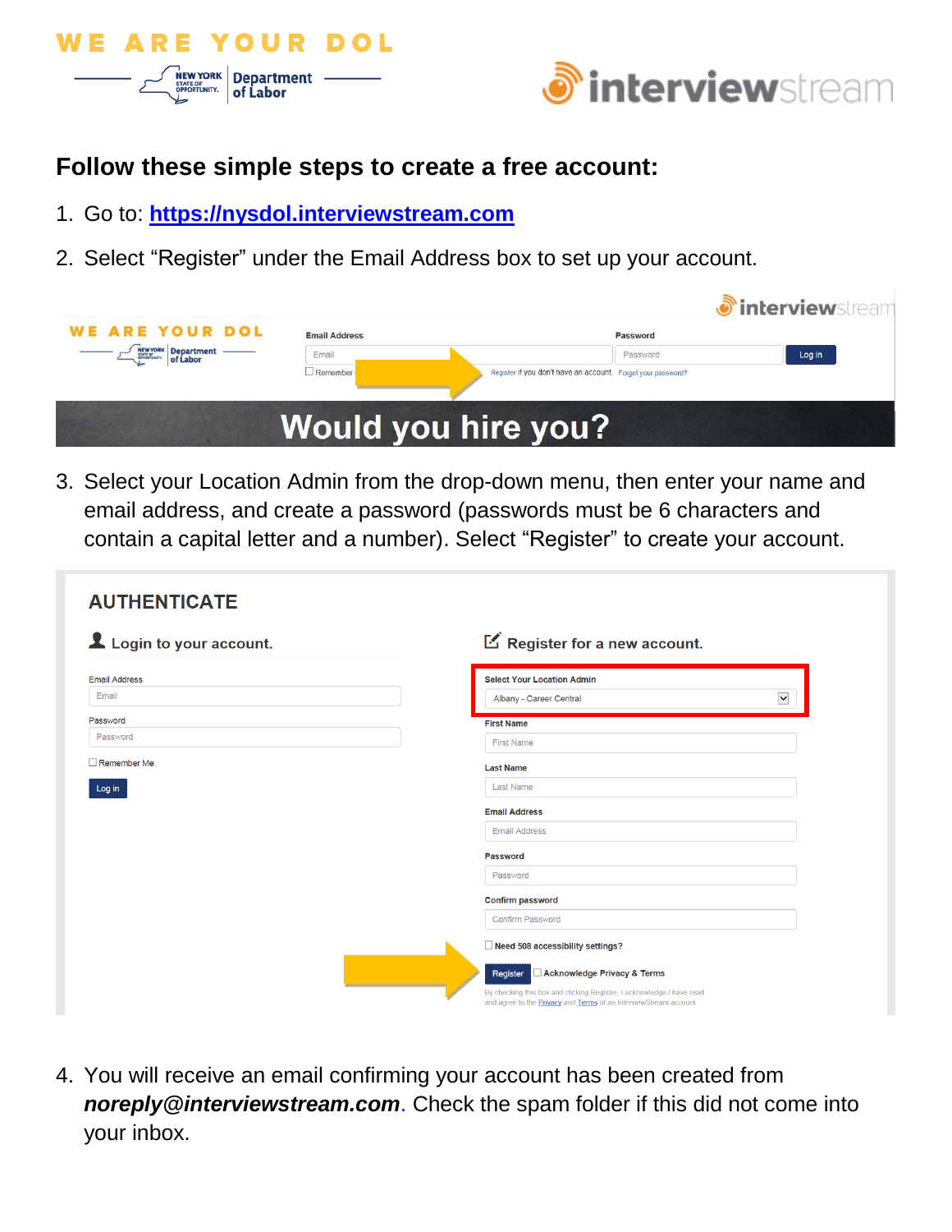



# **Follow these simple steps to create a free account:**

- 1. Go to: **[https://nysdol.interviewstream.com](https://nysdol.interviewstream.com/)**
- 2. Select "Register" under the Email Address box to set up your account.

|                        |                      |                                                              | <b><i>O</i></b> interviewstream |
|------------------------|----------------------|--------------------------------------------------------------|---------------------------------|
| <b>WE ARE YOUR DOL</b> | <b>Email Address</b> | Password                                                     |                                 |
|                        | Email                | Password                                                     | Log in                          |
|                        | Remember             | Register if you don't have an account. Forgot your password? |                                 |
|                        |                      |                                                              |                                 |
|                        |                      | <b>Would you hire you?</b>                                   |                                 |
|                        |                      |                                                              |                                 |

3. Select your Location Admin from the drop-down menu, then enter your name and email address, and create a password (passwords must be 6 characters and contain a capital letter and a number). Select "Register" to create your account.

| <b>AUTHENTICATE</b>            |                                                                                                                                                                                                     |  |  |  |  |
|--------------------------------|-----------------------------------------------------------------------------------------------------------------------------------------------------------------------------------------------------|--|--|--|--|
| Login to your account.         | E Register for a new account.                                                                                                                                                                       |  |  |  |  |
| <b>Email Address</b><br>Email  | <b>Select Your Location Admin</b><br>$\blacktriangledown$<br>Albany - Career Central                                                                                                                |  |  |  |  |
| Password                       | <b>First Name</b>                                                                                                                                                                                   |  |  |  |  |
| Password<br>$\Box$ Remember Me | <b>First Name</b><br><b>Last Name</b>                                                                                                                                                               |  |  |  |  |
| Log in                         | <b>Last Name</b>                                                                                                                                                                                    |  |  |  |  |
|                                | <b>Email Address</b><br><b>Email Address</b>                                                                                                                                                        |  |  |  |  |
|                                | Password                                                                                                                                                                                            |  |  |  |  |
|                                | Password<br><b>Confirm password</b>                                                                                                                                                                 |  |  |  |  |
|                                | <b>Confirm Password</b>                                                                                                                                                                             |  |  |  |  |
|                                | Need 508 accessibility settings?                                                                                                                                                                    |  |  |  |  |
|                                | Acknowledge Privacy & Terms<br>Register<br>By checking this box and clicking Register, I acknowledge I have read<br>and agree to the <b>Privacy</b> and <b>Terms</b> of an InterviewStream account. |  |  |  |  |

4. You will receive an email confirming your account has been created from *noreply@interviewstream.com*. Check the spam folder if this did not come into your inbox.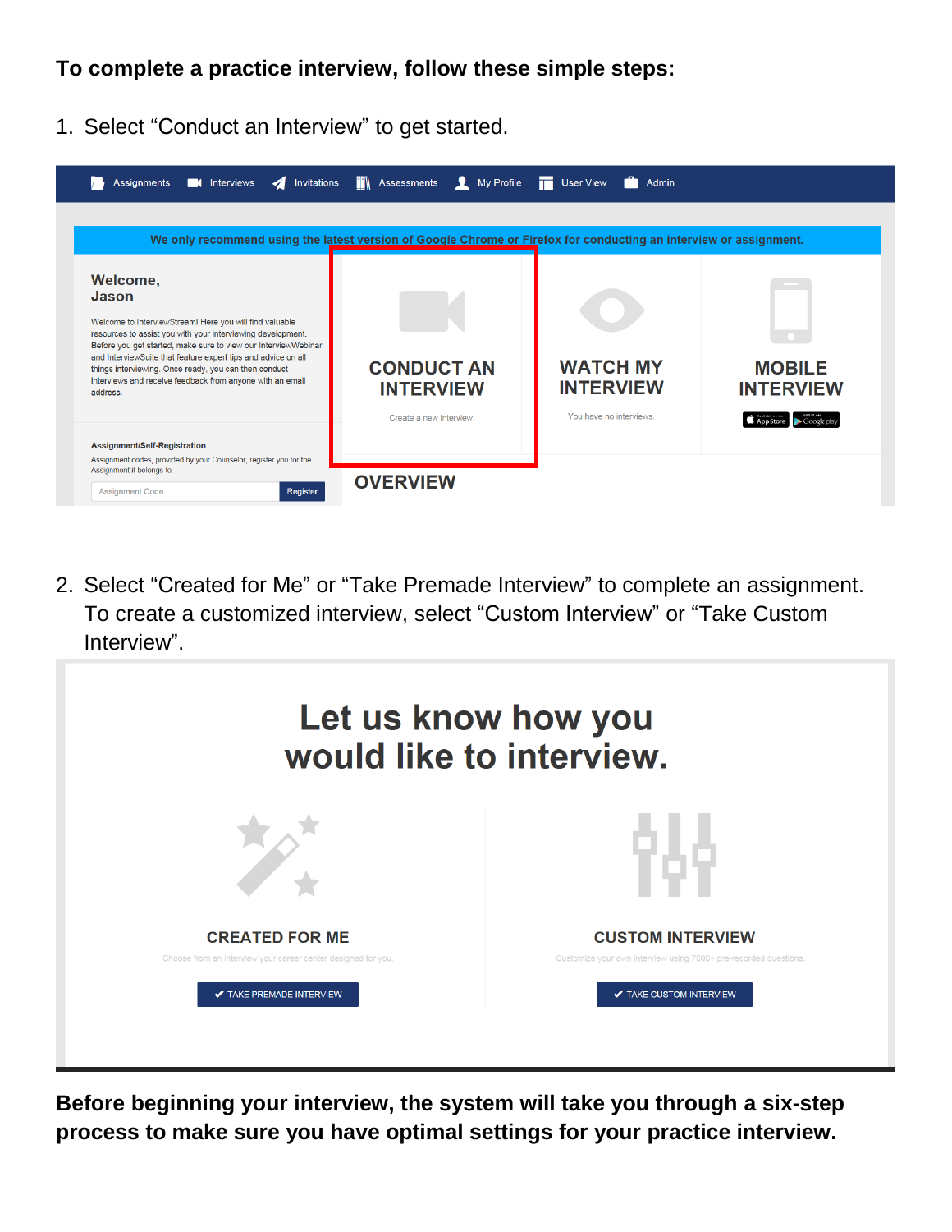## **To complete a practice interview, follow these simple steps:**

1. Select "Conduct an Interview" to get started.

|                                                                                                                                                                                                                                                                                                                                                                                                                   | We only recommend using the latest version of Google Chrome or Firefox for conducting an interview or assignment. |                                                                |                                   |
|-------------------------------------------------------------------------------------------------------------------------------------------------------------------------------------------------------------------------------------------------------------------------------------------------------------------------------------------------------------------------------------------------------------------|-------------------------------------------------------------------------------------------------------------------|----------------------------------------------------------------|-----------------------------------|
| Welcome,<br>Jason<br>Welcome to InterviewStream! Here you will find valuable<br>resources to assist you with your interviewing development.<br>Before you get started, make sure to view our Interview/Webinar<br>and InterviewSuite that feature expert tips and advice on all<br>things interviewing. Once ready, you can then conduct<br>interviews and receive feedback from anyone with an email<br>address. | <b>CONDUCT AN</b><br><b>INTERVIEW</b><br>Create a new interview.                                                  | <b>WATCH MY</b><br><b>INTERVIEW</b><br>You have no interviews. | <b>MOBILE</b><br><b>INTERVIEW</b> |
|                                                                                                                                                                                                                                                                                                                                                                                                                   |                                                                                                                   |                                                                | Google pla<br><b>App Store</b>    |

2. Select "Created for Me" or "Take Premade Interview" to complete an assignment. To create a customized interview, select "Custom Interview" or "Take Custom Interview".

| Let us know how you<br>would like to interview.               |                                                                  |  |  |  |
|---------------------------------------------------------------|------------------------------------------------------------------|--|--|--|
|                                                               |                                                                  |  |  |  |
| <b>CREATED FOR ME</b>                                         | <b>CUSTOM INTERVIEW</b>                                          |  |  |  |
| Choose from an interview your career center designed for you. | Customize your own interview using 7000+ pre-recorded questions. |  |  |  |
| <b>√ TAKE PREMADE INTERVIEW</b>                               | ✔ TAKE CUSTOM INTERVIEW                                          |  |  |  |
|                                                               |                                                                  |  |  |  |

**Before beginning your interview, the system will take you through a six-step process to make sure you have optimal settings for your practice interview.**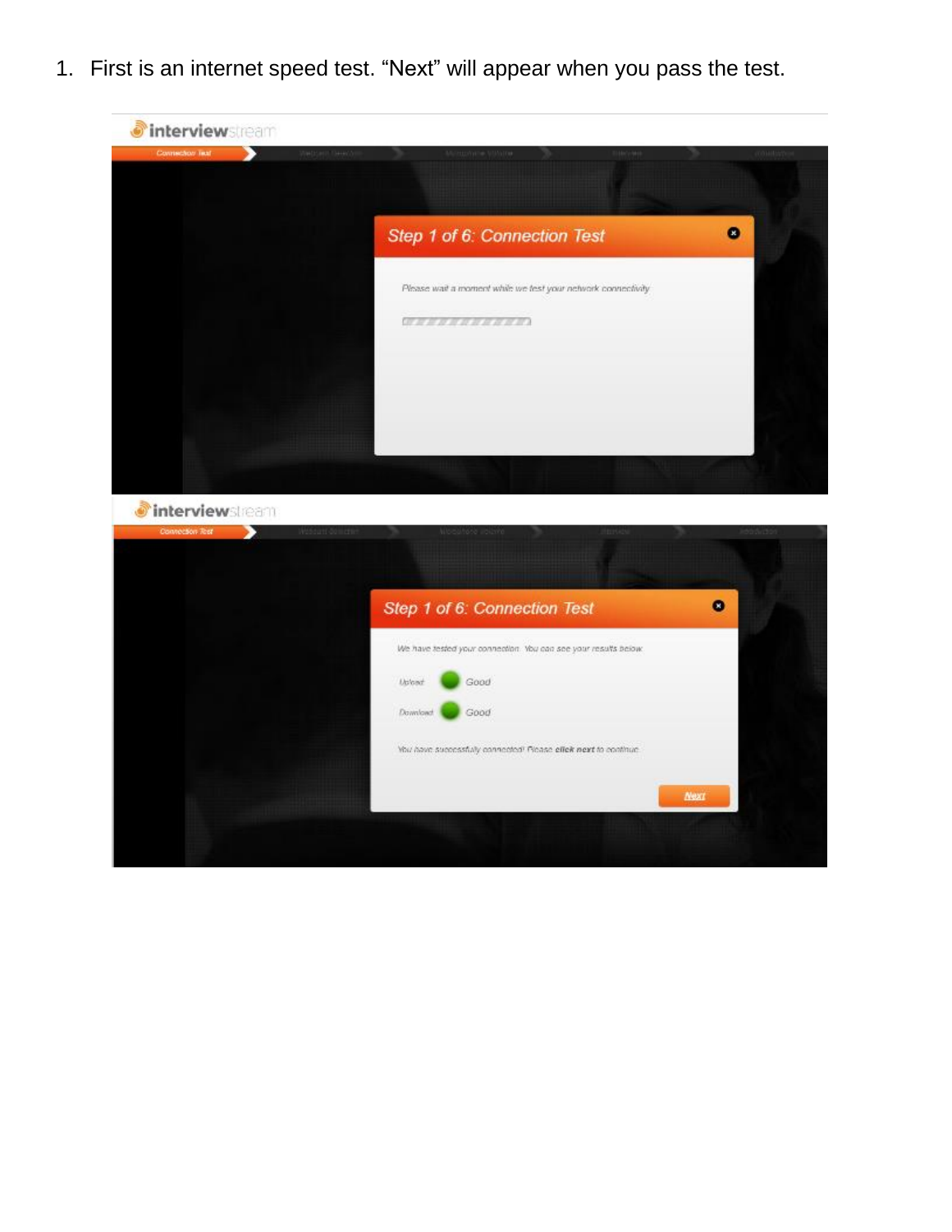1. First is an internet speed test. "Next" will appear when you pass the test.



*interviewsleam* 

| Connection Test | Wasaurt dometter |          | Alloquitorio illolario                                          | <b>HEFG</b> |             | <b>Jiddishidda</b> |  |
|-----------------|------------------|----------|-----------------------------------------------------------------|-------------|-------------|--------------------|--|
|                 |                  |          |                                                                 |             |             |                    |  |
|                 |                  |          | Step 1 of 6: Connection Test                                    |             |             | ο                  |  |
|                 |                  |          | We have tested your connection. You can see your results below. |             |             |                    |  |
|                 |                  | Udont    | Good                                                            |             |             |                    |  |
|                 |                  | Download | Good                                                            |             |             |                    |  |
|                 |                  |          | You have successfully connected? Ricase effek next to continue. |             |             |                    |  |
|                 |                  |          |                                                                 |             | <b>Next</b> |                    |  |
|                 |                  |          |                                                                 |             |             |                    |  |
|                 |                  |          |                                                                 |             |             |                    |  |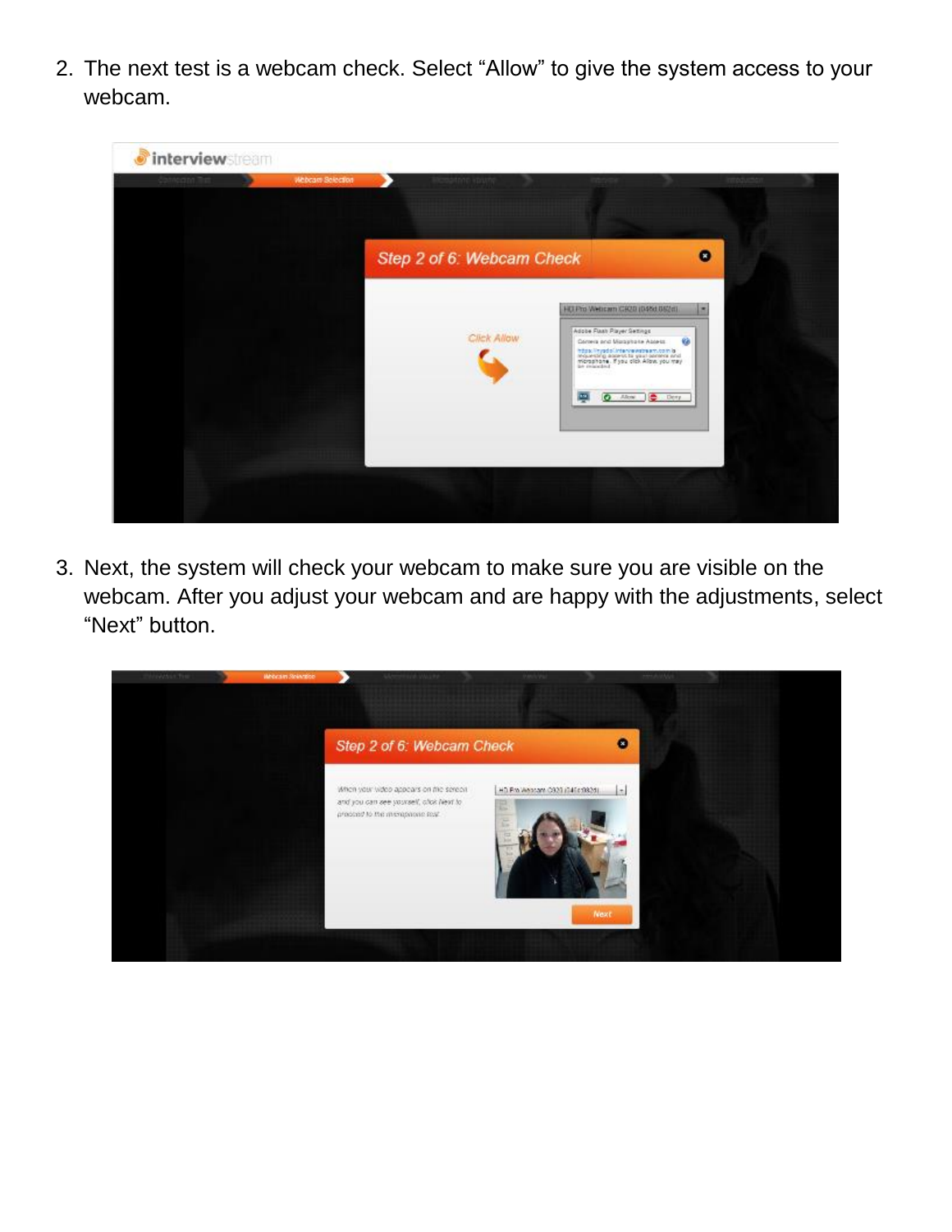2. The next test is a webcam check. Select "Allow" to give the system access to your webcam.



3. Next, the system will check your webcam to make sure you are visible on the webcam. After you adjust your webcam and are happy with the adjustments, select "Next" button.

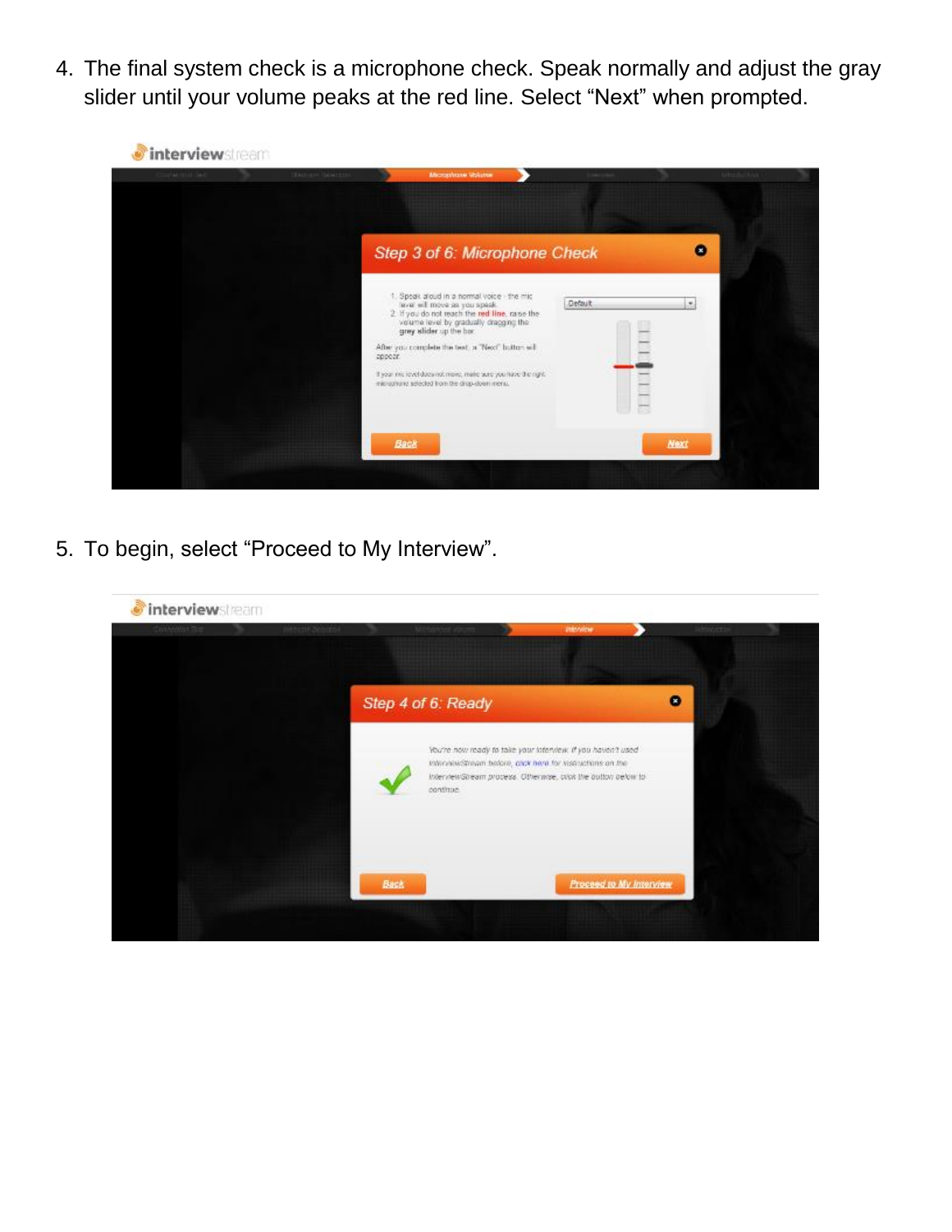4. The final system check is a microphone check. Speak normally and adjust the gray slider until your volume peaks at the red line. Select "Next" when prompted.



5. To begin, select "Proceed to My Interview".

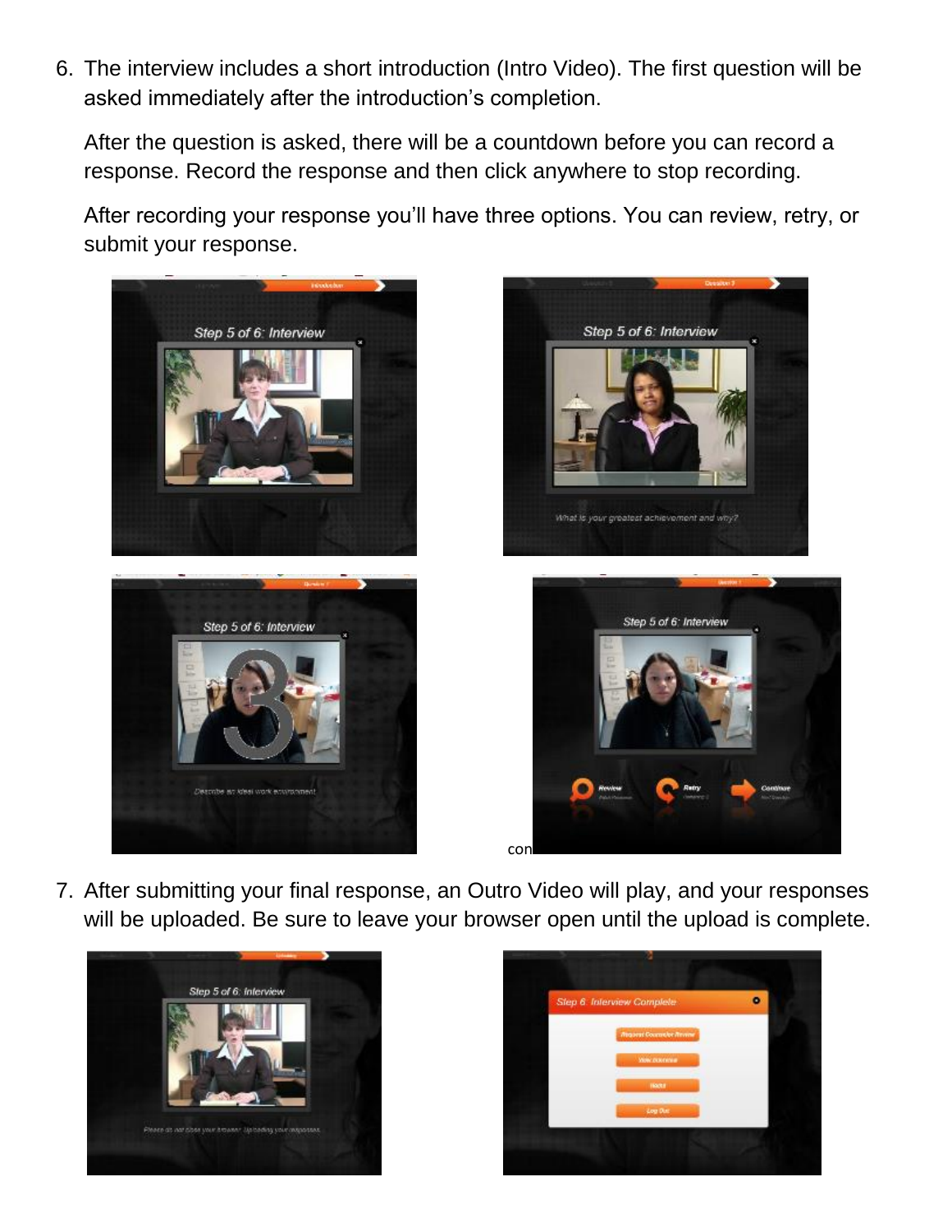6. The interview includes a short introduction (Intro Video). The first question will be asked immediately after the introduction's completion.

After the question is asked, there will be a countdown before you can record a response. Record the response and then click anywhere to stop recording.

After recording your response you'll have three options. You can review, retry, or submit your response.







7. After submitting your final response, an Outro Video will play, and your responses will be uploaded. Be sure to leave your browser open until the upload is complete.



Describe an ideal work environment